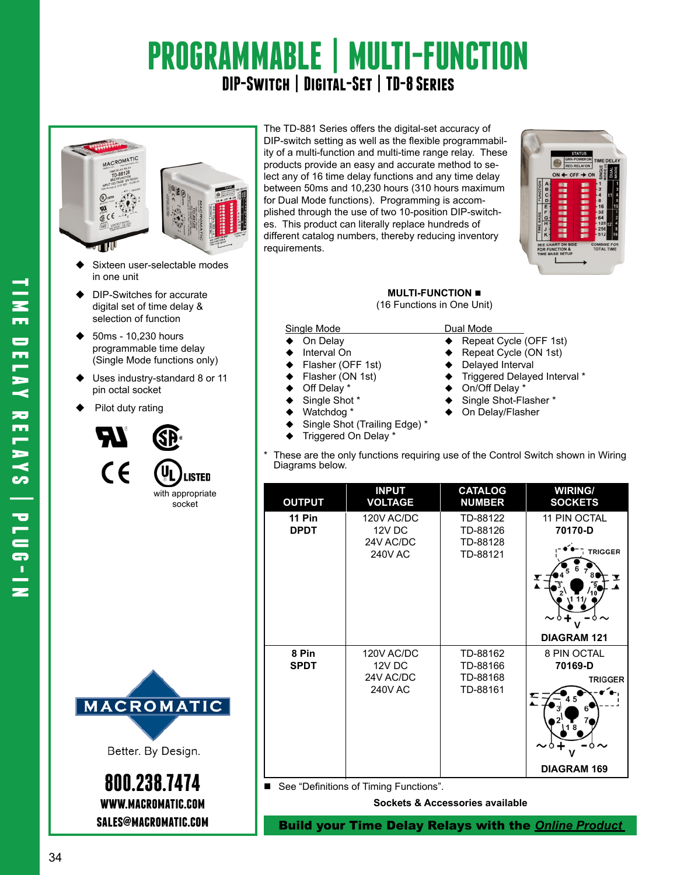# **PROGRAMMABLE | MULTI-FUNCTION DIP-Switch | Digital-Set | TD-8 Series**



- Sixteen user-selectable modes in one unit
- DIP-Switches for accurate digital set of time delay & selection of function
- 50ms 10,230 hours programmable time delay (Single Mode functions only)
- ◆ Uses industry-standard 8 or 11 pin octal socket
- Pilot duty rating





Better. By Design.

**800.238.7474 www.macromatic.com**

The TD-881 Series offers the digital-set accuracy of DIP-switch setting as well as the flexible programmability of a multi-function and multi-time range relay. These products provide an easy and accurate method to select any of 16 time delay functions and any time delay between 50ms and 10,230 hours (310 hours maximum for Dual Mode functions). Programming is accomplished through the use of two 10-position DIP-switches. This product can literally replace hundreds of different catalog numbers, thereby reducing inventory requirements.



**MULTI-FUNCTION** 

(16 Functions in One Unit)

#### Single Mode Dual Mode

- 
- 
- 
- 
- 
- 
- 
- Single Shot (Trailing Edge) \*
- $\blacklozenge$  Triggered On Delay \*
- On Delay Repeat Cycle (OFF 1st)
- Interval On 
→ Repeat Cycle (ON 1st)<br>
Flasher (OFF 1st) → Delayed Interval
- Flasher (OFF 1st) → Delayed Interval<br>Flasher (ON 1st) → Triggered Delaye
- Flasher (ON 1st)  $\begin{array}{ccc} \bullet & \text{Triggered Delayed Interval *} \\ \text{Off Delay *} & \bullet & \text{On/Off Delay *} \end{array}$
- Off Delay \* 
→ On/Off Delay \*<br>
Single Shot \* 
→ Single Shot-Fla
- Single Shot \* 
→ Single Shot-Flasher \* 
→ On Delay/Flasher \* 
→ On Delay/Flasher
	- On Delay/Flasher
- These are the only functions requiring use of the Control Switch shown in Wiring Diagrams below.

| <b>OUTPUT</b>                | <b>INPUT</b><br><b>VOLTAGE</b>                      | <b>CATALOG</b><br><b>NUMBER</b>              | <b>WIRING/</b><br><b>SOCKETS</b>         |
|------------------------------|-----------------------------------------------------|----------------------------------------------|------------------------------------------|
| <b>11 Pin</b><br><b>DPDT</b> | 120V AC/DC<br>12V DC<br>24V AC/DC<br><b>240V AC</b> | TD-88122<br>TD-88126<br>TD-88128<br>TD-88121 | 11 PIN OCTAL<br>70170-D<br>TRIGGER       |
|                              |                                                     |                                              | <b>DIAGRAM 121</b>                       |
| 8 Pin<br><b>SPDT</b>         | 120V AC/DC<br>12V DC<br>24V AC/DC<br><b>240V AC</b> | TD-88162<br>TD-88166<br>TD-88168<br>TD-88161 | 8 PIN OCTAL<br>70169-D<br><b>TRIGGER</b> |
|                              |                                                     |                                              | <b>DIAGRAM 169</b>                       |

■ See "Definitions of Timing Functions".

**Sockets & Accessories available**

**sales@macromatic.com** Build your Time Delay Relays with the *Online [Product](http:/http://www.macromatic.com/product-builder/home/)*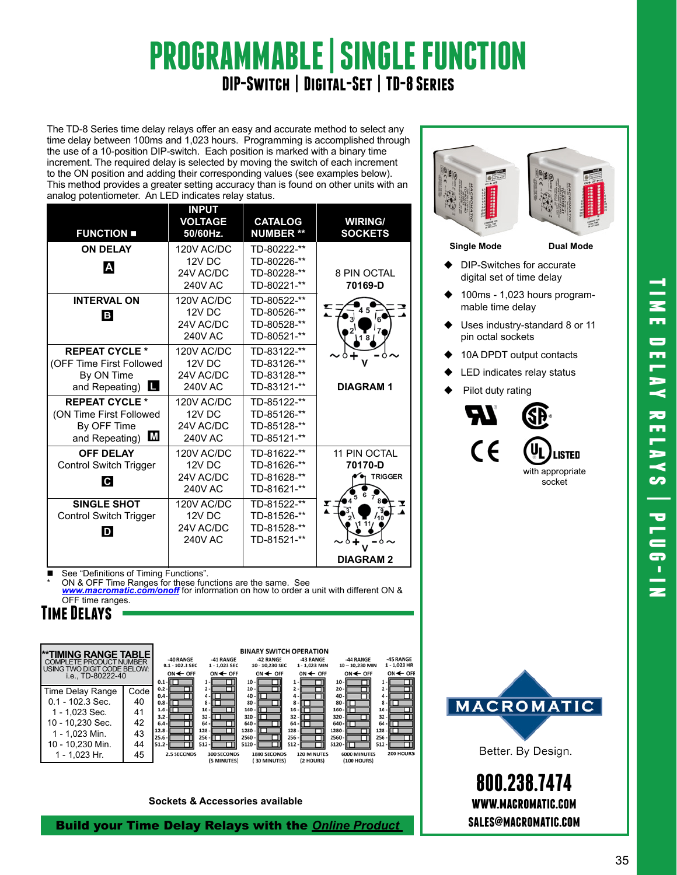# **PROGRAMMABLE | SINGLE FUNCTION DIP-Switch | Digital-Set | TD-8 Series**

The TD-8 Series time delay relays offer an easy and accurate method to select any time delay between 100ms and 1,023 hours. Programming is accomplished through the use of a 10-position DIP-switch. Each position is marked with a binary time increment. The required delay is selected by moving the switch of each increment to the ON position and adding their corresponding values (see examples below). This method provides a greater setting accuracy than is found on other units with an analog potentiometer. An LED indicates relay status.

| <b>FUNCTION</b>                                                                                  | <b>INPUT</b><br><b>VOLTAGE</b><br>50/60Hz.          | <b>CATALOG</b><br><b>NUMBER **</b>                       | <b>WIRING/</b><br><b>SOCKETS</b>          |
|--------------------------------------------------------------------------------------------------|-----------------------------------------------------|----------------------------------------------------------|-------------------------------------------|
| <b>ON DELAY</b><br>A                                                                             | 120V AC/DC<br>12V DC<br>24V AC/DC<br><b>240V AC</b> | TD-80222-**<br>TD-80226-**<br>TD-80228-**<br>TD-80221-** | 8 PIN OCTAL<br>70169-D                    |
| <b>INTERVAL ON</b><br>B                                                                          | 120V AC/DC<br>12V DC<br>24V AC/DC<br><b>240V AC</b> | TD-80522-**<br>TD-80526-**<br>TD-80528-**<br>TD-80521-** |                                           |
| <b>REPEAT CYCLE *</b><br>(OFF Time First Followed<br>By ON Time<br>and Repeating) $\blacksquare$ | 120V AC/DC<br>12V DC<br>24V AC/DC<br><b>240V AC</b> | TD-83122-**<br>TD-83126-**<br>TD-83128-**<br>TD-83121-** | <b>DIAGRAM1</b>                           |
| <b>REPEAT CYCLE *</b><br>(ON Time First Followed<br>By OFF Time<br>M<br>and Repeating)           | 120V AC/DC<br>12V DC<br>24V AC/DC<br><b>240V AC</b> | TD-85122-**<br>TD-85126-**<br>TD-85128-**<br>TD-85121-** |                                           |
| <b>OFF DELAY</b><br>Control Switch Trigger<br>C                                                  | 120V AC/DC<br>12V DC<br>24V AC/DC<br><b>240V AC</b> | TD-81622-**<br>TD-81626-**<br>TD-81628-**<br>TD-81621-** | 11 PIN OCTAL<br>70170-D<br><b>TRIGGER</b> |
| SINGLE SHOT<br>Control Switch Trigger<br>D                                                       | 120V AC/DC<br>12V DC<br>24V AC/DC<br><b>240V AC</b> | TD-81522-**<br>TD-81526-**<br>TD-81528-**<br>TD-81521-** | I<br><b>DIAGRAM2</b>                      |

■ See "Definitions of Timing Functions". ON & OFF Time Ranges for these functions are the same. See *www.macromatic.com/onoff* for information on how to order a unit with different ON & OFF time ranges.

## **Time Delays**



**Sockets & Accessories available**

Build your Time Delay Relays with the *Online P[roduct](http:/http://www.macromatic.com/product-builder/home/)* 



#### **Single Mode Dual Mode**

- DIP-Switches for accurate digital set of time delay
- 100ms 1,023 hours programmable time delay
- Uses industry-standard 8 or 11 pin octal sockets
- 10A DPDT output contacts
- LED indicates relay status
- $\blacklozenge$  Pilot duty rating





Better. By Design.

**800.238.7474 www.macromatic.com sales@macromatic.com**